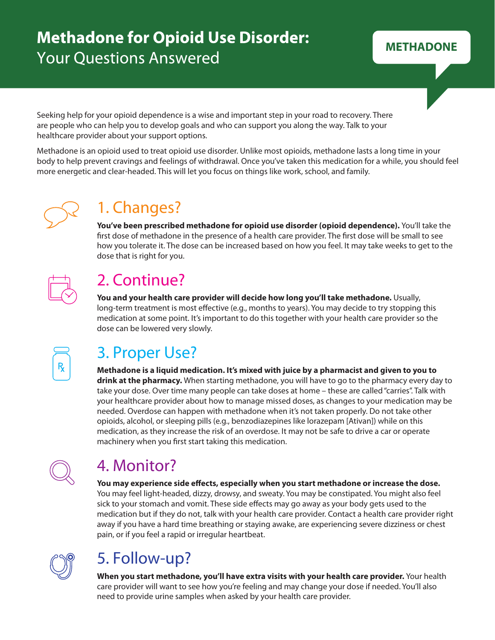# **Methadone for Opioid Use Disorder: Your Questions Answered**

**METHADONE**

Seeking help for your opioid dependence is a wise and important step in your road to recovery. There are people who can help you to develop goals and who can support you along the way. Talk to your healthcare provider about your support options.

Methadone is an opioid used to treat opioid use disorder. Unlike most opioids, methadone lasts a long time in your body to help prevent cravings and feelings of withdrawal. Once you've taken this medication for a while, you should feel more energetic and clear-headed. This will let you focus on things like work, school, and family.



# 1. Changes?

**You've been prescribed methadone for opioid use disorder (opioid dependence).** You'll take the first dose of methadone in the presence of a health care provider. The first dose will be small to see how you tolerate it. The dose can be increased based on how you feel. It may take weeks to get to the dose that is right for you.

# 2. Continue?

**You and your health care provider will decide how long you'll take methadone.** Usually, long-term treatment is most effective (e.g., months to years). You may decide to try stopping this medication at some point. It's important to do this together with your health care provider so the dose can be lowered very slowly.

## 3. Proper Use?

**Methadone is a liquid medication. It's mixed with juice by a pharmacist and given to you to drink at the pharmacy.** When starting methadone, you will have to go to the pharmacy every day to take your dose. Over time many people can take doses at home – these are called "carries". Talk with your healthcare provider about how to manage missed doses, as changes to your medication may be needed. Overdose can happen with methadone when it's not taken properly. Do not take other opioids, alcohol, or sleeping pills (e.g., benzodiazepines like lorazepam [Ativan]) while on this medication, as they increase the risk of an overdose. It may not be safe to drive a car or operate machinery when you first start taking this medication.



## 4. Monitor?

You may experience side effects, especially when you start methadone or increase the dose. You may feel light-headed, dizzy, drowsy, and sweaty. You may be constipated. You might also feel sick to your stomach and vomit. These side effects may go away as your body gets used to the medication but if they do not, talk with your health care provider. Contact a health care provider right away if you have a hard time breathing or staying awake, are experiencing severe dizziness or chest pain, or if you feel a rapid or irregular heartbeat.



# 5. Follow-up?

**When you start methadone, you'll have extra visits with your health care provider.** Your health care provider will want to see how you're feeling and may change your dose if needed. You'll also need to provide urine samples when asked by your health care provider.